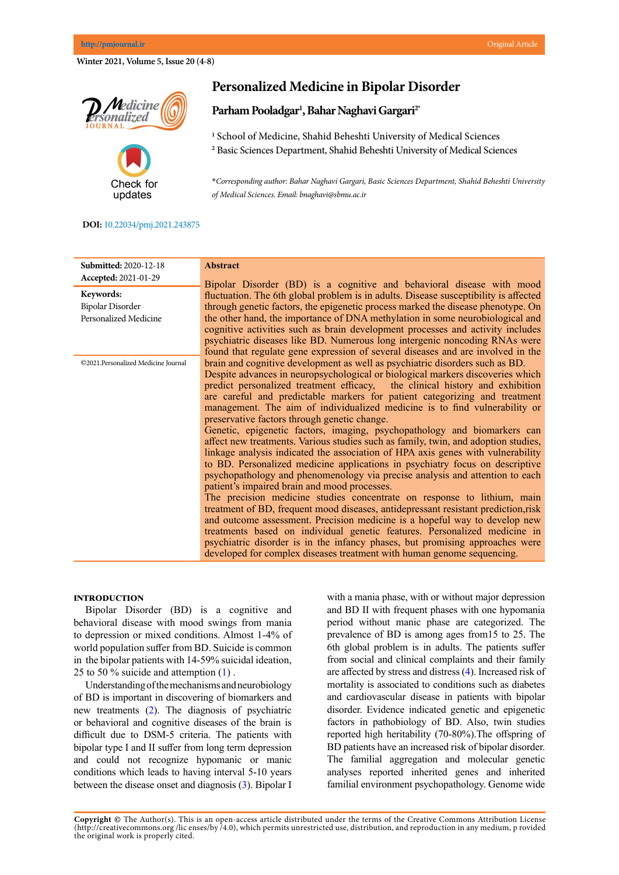**Copyright ©** The Author(s). This is an open-access article distributed under the terms of the Creative Commons Attribution License (http://creativecommons.org /lic enses/by /4.0), which permits unrestricted use, distribution, and reproduction in any medium, p rovided the original work is properly cited.

**Winter 2021, Volume 5, Issue 20 (4-8)**

**Pedicine onalized** 

# **Personalized Medicine in Bipolar Disorder**

## **Parham Pooladgar1 , Bahar Naghavi Gargari2\***

**1** School of Medicine, Shahid Beheshti University of Medical Sciences **2** Basic Sciences Department, Shahid Beheshti University of Medical Sciences

**\****Corresponding author: Bahar Naghavi Gargari, Basic Sciences Department, Shahid Beheshti University of Medical Sciences. Email: bnaghavi@sbmu.ac.ir*

### **DOI:** [1](http://www.pmjournal.ir/article_43457.html)0.22034/pmj.2021.243875

Check for updates

| <b>Submitted: 2020-12-18</b>        | <b>Abstract</b>                                                                                                                                                  |
|-------------------------------------|------------------------------------------------------------------------------------------------------------------------------------------------------------------|
| Accepted: 2021-01-29                | Bipolar Disorder (BD) is a cognitive and behavioral disease with mood                                                                                            |
| Keywords:                           | fluctuation. The 6th global problem is in adults. Disease susceptibility is affected                                                                             |
| <b>Bipolar Disorder</b>             | through genetic factors, the epigenetic process marked the disease phenotype. On                                                                                 |
| Personalized Medicine               | the other hand, the importance of DNA methylation in some neurobiological and                                                                                    |
|                                     | cognitive activities such as brain development processes and activity includes                                                                                   |
|                                     | psychiatric diseases like BD. Numerous long intergenic noncoding RNAs were                                                                                       |
|                                     | found that regulate gene expression of several diseases and are involved in the                                                                                  |
| ©2021.Personalized Medicine Journal | brain and cognitive development as well as psychiatric disorders such as BD.                                                                                     |
|                                     | Despite advances in neuropsychological or biological markers discoveries which                                                                                   |
|                                     | predict personalized treatment efficacy, the clinical history and exhibition<br>are careful and predictable markers for patient categorizing and treatment       |
|                                     | management. The aim of individualized medicine is to find vulnerability or                                                                                       |
|                                     | preservative factors through genetic change.                                                                                                                     |
|                                     | Genetic, epigenetic factors, imaging, psychopathology and biomarkers can                                                                                         |
|                                     | affect new treatments. Various studies such as family, twin, and adoption studies,                                                                               |
|                                     | linkage analysis indicated the association of HPA axis genes with vulnerability                                                                                  |
|                                     | to BD. Personalized medicine applications in psychiatry focus on descriptive                                                                                     |
|                                     | psychopathology and phenomenology via precise analysis and attention to each                                                                                     |
|                                     | patient's impaired brain and mood processes.                                                                                                                     |
|                                     | The precision medicine studies concentrate on response to lithium, main                                                                                          |
|                                     | treatment of BD, frequent mood diseases, antidepressant resistant prediction, risk<br>and outcome assessment. Precision medicine is a hopeful way to develop new |
|                                     | treatments based on individual genetic features. Personalized medicine in                                                                                        |
|                                     | psychiatric disorder is in the infancy phases, but promising approaches were                                                                                     |
|                                     | developed for complex diseases treatment with human genome sequencing.                                                                                           |

## **Introduction**

Bipolar Disorder (BD) is a cognitive and behavioral disease with mood swings from mania to depression or mixed conditions. Almost 1-4% of world population suffer from BD. Suicide is common in the bipolar patients with 14-59% suicidal ideation, 25 to 50 % suicide and attemption (1) .

Understanding of the mechanisms and neurobiology of BD is important in discovering of biomarkers and new treatments (2). The diagnosis of psychiatric or behavioral and cognitive diseases of the brain is difficult due to DSM-5 criteria. The patients with bipolar type I and II suffer from long term depression and could not recognize hypomanic or manic conditions which leads to having interval 5-10 years between the disease onset and diagnosis (3). Bipolar I with a mania phase, with or without major depression and BD II with frequent phases with one hypomania period without manic phase are categorized. The prevalence of BD is among ages from15 to 25. The 6th global problem is in adults. The patients suffer from social and clinical complaints and their family are affected by stress and distress (4). Increased risk of mortality is associated to conditions such as diabetes and cardiovascular disease in patients with bipolar disorder. Evidence indicated genetic and epigenetic factors in pathobiology of BD. Also, twin studies reported high heritability (70-80%).The offspring of BD patients have an increased risk of bipolar disorder. The familial aggregation and molecular genetic analyses reported inherited genes and inherited familial environment psychopathology. Genome wide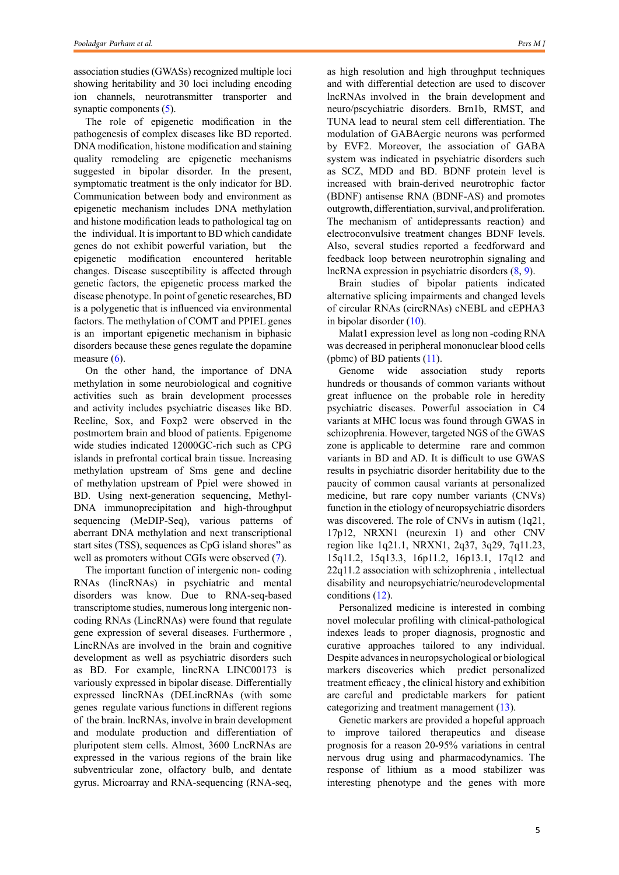association studies (GWASs) recognized multiple loci showing heritability and 30 loci including encoding ion channels, neurotransmitter transporter and synaptic components (5).

The role of epigenetic modification in the pathogenesis of complex diseases like BD reported. DNA modification, histone modification and staining quality remodeling are epigenetic mechanisms suggested in bipolar disorder. In the present, symptomatic treatment is the only indicator for BD. Communication between body and environment as epigenetic mechanism includes DNA methylation and histone modification leads to pathological tag on the individual. It is important to BD which candidate genes do not exhibit powerful variation, but the epigenetic modification encountered heritable changes. Disease susceptibility is affected through genetic factors, the epigenetic process marked the disease phenotype. In point of genetic researches, BD is a polygenetic that is influenced via environmental factors. The methylation of COMT and PPIEL genes is an important epigenetic mechanism in biphasic disorders because these genes regulate the dopamine measure  $(6)$ .

On the other hand, the importance of DNA methylation in some neurobiological and cognitive activities such as brain development processes and activity includes psychiatric diseases like BD. Reeline, Sox, and Foxp2 were observed in the postmortem brain and blood of patients. Epigenome wide studies indicated 12000GC-rich such as CPG islands in prefrontal cortical brain tissue. Increasing methylation upstream of Sms gene and decline of methylation upstream of Ppiel were showed in BD. Using next-generation sequencing, Methyl-DNA immunoprecipitation and high-throughput sequencing (MeDIP-Seq), various patterns of aberrant DNA methylation and next transcriptional start sites (TSS), sequences as CpG island shores" as well as promoters without CGIs were observed (7).

The important function of intergenic non- coding RNAs (lincRNAs) in psychiatric and mental disorders was know. Due to RNA-seq-based transcriptome studies, numerous long intergenic noncoding RNAs (LincRNAs) were found that regulate gene expression of several diseases. Furthermore , LincRNAs are involved in the brain and cognitive development as well as psychiatric disorders such as BD. For example, lincRNA LINC00173 is variously expressed in bipolar disease. Differentially expressed lincRNAs (DELincRNAs (with some genes regulate various functions in different regions of the brain. lncRNAs, involve in brain development and modulate production and differentiation of pluripotent stem cells. Almost, 3600 LncRNAs are expressed in the various regions of the brain like subventricular zone, olfactory bulb, and dentate gyrus. Microarray and RNA-sequencing (RNA-seq,

as high resolution and high throughput techniques and with differential detection are used to discover lncRNAs involved in the brain development and neuro/pscychiatric disorders. Brn1b, RMST, and TUNA lead to neural stem cell differentiation. The modulation of GABAergic neurons was performed by EVF2. Moreover, the association of GABA system was indicated in psychiatric disorders such as SCZ, MDD and BD. BDNF protein level is increased with brain-derived neurotrophic factor (BDNF) antisense RNA (BDNF-AS) and promotes outgrowth, differentiation, survival, and proliferation. The mechanism of antidepressants reaction) and electroconvulsive treatment changes BDNF levels. Also, several studies reported a feedforward and feedback loop between neurotrophin signaling and lncRNA expression in psychiatric disorders (8, 9).

Brain studies of bipolar patients indicated alternative splicing impairments and changed levels of circular RNAs (circRNAs) cNEBL and cEPHA3 in bipolar disorder (10).

Malat1 expression level as long non -coding RNA was decreased in peripheral mononuclear blood cells (pbmc) of BD patients (11).

Genome wide association study reports hundreds or thousands of common variants without great influence on the probable role in heredity psychiatric diseases. Powerful association in C4 variants at MHC locus was found through GWAS in schizophrenia. However, targeted NGS of the GWAS zone is applicable to determine rare and common variants in BD and AD. It is difficult to use GWAS results in psychiatric disorder heritability due to the paucity of common causal variants at personalized medicine, but rare copy number variants (CNVs) function in the etiology of neuropsychiatric disorders was discovered. The role of CNVs in autism (1q21, 17p12, NRXN1 (neurexin 1) and other CNV region like 1q21.1, NRXN1, 2q37, 3q29, 7q11.23, 15q11.2, 15q13.3, 16p11.2, 16p13.1, 17q12 and 22q11.2 association with schizophrenia , intellectual disability and neuropsychiatric/neurodevelopmental conditions (12).

Personalized medicine is interested in combing novel molecular profiling with clinical-pathological indexes leads to proper diagnosis, prognostic and curative approaches tailored to any individual. Despite advances in neuropsychological or biological markers discoveries which predict personalized treatment efficacy , the clinical history and exhibition are careful and predictable markers for patient categorizing and treatment management (13).

Genetic markers are provided a hopeful approach to improve tailored therapeutics and disease prognosis for a reason 20-95% variations in central nervous drug using and pharmacodynamics. The response of lithium as a mood stabilizer was interesting phenotype and the genes with more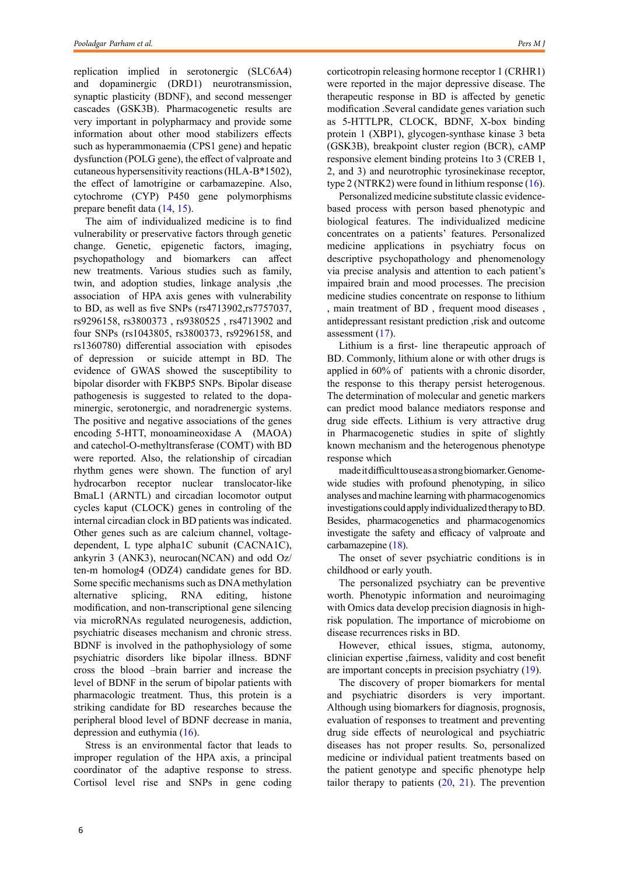replication implied in serotonergic (SLC6A4) and dopaminergic (DRD1) neurotransmission, synaptic plasticity (BDNF), and second messenger cascades (GSK3B). Pharmacogenetic results are very important in polypharmacy and provide some information about other mood stabilizers effects such as hyperammonaemia (CPS1 gene) and hepatic dysfunction (POLG gene), the effect of valproate and cutaneous hypersensitivity reactions (HLA-B\*1502), the effect of lamotrigine or carbamazepine. Also, cytochrome (CYP) P450 gene polymorphisms prepare benefit data (14, 15).

The aim of individualized medicine is to find vulnerability or preservative factors through genetic change. Genetic, epigenetic factors, imaging, psychopathology and biomarkers can affect new treatments. Various studies such as family, twin, and adoption studies, linkage analysis ,the association of HPA axis genes with vulnerability to BD, as well as five SNPs (rs4713902,rs7757037, rs9296158, rs3800373 , rs9380525 , rs4713902 and four SNPs (rs1043805, rs3800373, rs9296158, and rs1360780) differential association with episodes of depression or suicide attempt in BD. The evidence of GWAS showed the susceptibility to bipolar disorder with FKBP5 SNPs. Bipolar disease pathogenesis is suggested to related to the dopaminergic, serotonergic, and noradrenergic systems. The positive and negative associations of the genes encoding 5-HTT, monoamineoxidase A (MAOA) and catechol-O-methyltransferase (COMT) with BD were reported. Also, the relationship of circadian rhythm genes were shown. The function of aryl hydrocarbon receptor nuclear translocator-like BmaL1 (ARNTL) and circadian locomotor output cycles kaput (CLOCK) genes in controling of the internal circadian clock in BD patients was indicated. Other genes such as are calcium channel, voltagedependent, L type alpha1C subunit (CACNA1C), ankyrin 3 (ANK3), neurocan(NCAN) and odd Oz/ ten-m homolog4 (ODZ4) candidate genes for BD. Some specific mechanisms such as DNA methylation alternative splicing, RNA editing, histone modification, and non-transcriptional gene silencing via microRNAs regulated neurogenesis, addiction, psychiatric diseases mechanism and chronic stress. BDNF is involved in the pathophysiology of some psychiatric disorders like bipolar illness. BDNF cross the blood –brain barrier and increase the level of BDNF in the serum of bipolar patients with pharmacologic treatment. Thus, this protein is a striking candidate for BD researches because the peripheral blood level of BDNF decrease in mania, depression and euthymia (16).

Stress is an environmental factor that leads to improper regulation of the HPA axis, a principal coordinator of the adaptive response to stress. Cortisol level rise and SNPs in gene coding

corticotropin releasing hormone receptor 1 (CRHR1) were reported in the major depressive disease. The therapeutic response in BD is affected by genetic modification .Several candidate genes variation such as 5-HTTLPR, CLOCK, BDNF, X-box binding protein 1 (XBP1), glycogen-synthase kinase 3 beta (GSK3B), breakpoint cluster region (BCR), cAMP responsive element binding proteins 1to 3 (CREB 1, 2, and 3) and neurotrophic tyrosinekinase receptor, type 2 (NTRK2) were found in lithium response (16).

Personalized medicine substitute classic evidencebased process with person based phenotypic and biological features. The individualized medicine concentrates on a patients' features. Personalized medicine applications in psychiatry focus on descriptive psychopathology and phenomenology via precise analysis and attention to each patient's impaired brain and mood processes. The precision medicine studies concentrate on response to lithium , main treatment of BD , frequent mood diseases , antidepressant resistant prediction ,risk and outcome assessment (17).

Lithium is a first- line therapeutic approach of BD. Commonly, lithium alone or with other drugs is applied in 60% of patients with a chronic disorder, the response to this therapy persist heterogenous. The determination of molecular and genetic markers can predict mood balance mediators response and drug side effects. Lithium is very attractive drug in Pharmacogenetic studies in spite of slightly known mechanism and the heterogenous phenotype response which

made it difficult to use as a strong biomarker. Genomewide studies with profound phenotyping, in silico analyses and machine learning with pharmacogenomics investigations could apply individualized therapy to BD. Besides, pharmacogenetics and pharmacogenomics investigate the safety and efficacy of valproate and carbamazepine (18).

The onset of sever psychiatric conditions is in childhood or early youth.

The personalized psychiatry can be preventive worth. Phenotypic information and neuroimaging with Omics data develop precision diagnosis in highrisk population. The importance of microbiome on disease recurrences risks in BD.

However, ethical issues, stigma, autonomy, clinician expertise ,fairness, validity and cost benefit are important concepts in precision psychiatry (19).

The discovery of proper biomarkers for mental and psychiatric disorders is very important. Although using biomarkers for diagnosis, prognosis, evaluation of responses to treatment and preventing drug side effects of neurological and psychiatric diseases has not proper results. So, personalized medicine or individual patient treatments based on the patient genotype and specific phenotype help tailor therapy to patients  $(20, 21)$ . The prevention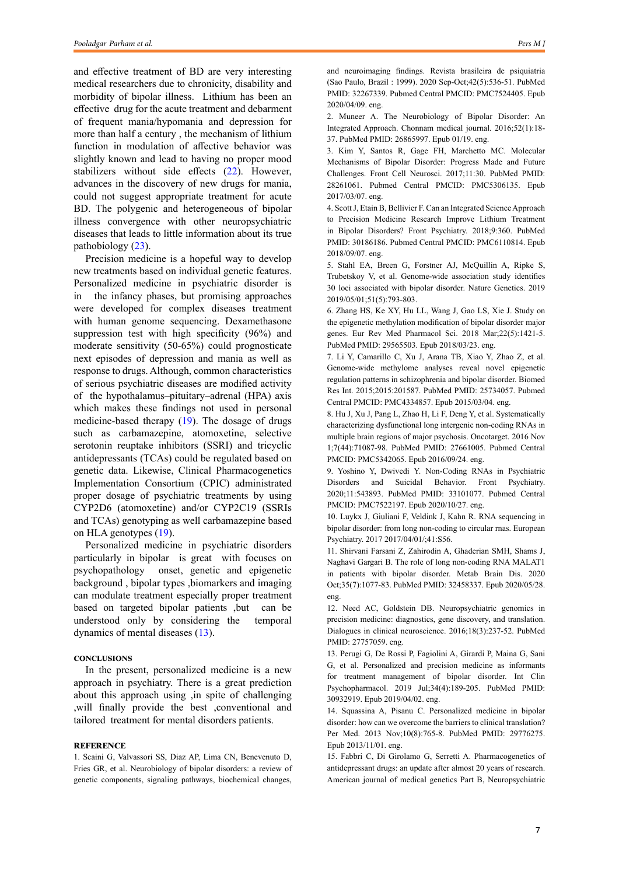and effective treatment of BD are very interesting medical researchers due to chronicity, disability and morbidity of bipolar illness. Lithium has been an effective drug for the acute treatment and debarment of frequent mania/hypomania and depression for more than half a century , the mechanism of lithium function in modulation of affective behavior was slightly known and lead to having no proper mood stabilizers without side effects (22). However, advances in the discovery of new drugs for mania, could not suggest appropriate treatment for acute BD. The polygenic and heterogeneous of bipolar illness convergence with other neuropsychiatric diseases that leads to little information about its true pathobiology (23).

Precision medicine is a hopeful way to develop new treatments based on individual genetic features. Personalized medicine in psychiatric disorder is in the infancy phases, but promising approaches were developed for complex diseases treatment with human genome sequencing. Dexamethasone suppression test with high specificity (96%) and moderate sensitivity (50-65%) could prognosticate next episodes of depression and mania as well as response to drugs. Although, common characteristics of serious psychiatric diseases are modified activity of the hypothalamus–pituitary–adrenal (HPA) axis which makes these findings not used in personal medicine-based therapy (19). The dosage of drugs such as carbamazepine, atomoxetine, selective serotonin reuptake inhibitors (SSRI) and tricyclic antidepressants (TCAs) could be regulated based on genetic data. Likewise, Clinical Pharmacogenetics Implementation Consortium (CPIC) administrated proper dosage of psychiatric treatments by using CYP2D6 (atomoxetine) and/or CYP2C19 (SSRIs and TCAs) genotyping as well carbamazepine based on HLA genotypes (19).

Personalized medicine in psychiatric disorders particularly in bipolar is great with focuses on psychopathology onset, genetic and epigenetic background , bipolar types ,biomarkers and imaging can modulate treatment especially proper treatment based on targeted bipolar patients ,but can be understood only by considering the temporal dynamics of mental diseases (13).

#### **Conclusions**

In the present, personalized medicine is a new approach in psychiatry. There is a great prediction about this approach using ,in spite of challenging ,will finally provide the best ,conventional and tailored treatment for mental disorders patients.

#### **Reference**

1. Scaini G, Valvassori SS, Diaz AP, Lima CN, Benevenuto D, Fries GR, et al. Neurobiology of bipolar disorders: a review of genetic components, signaling pathways, biochemical changes,

and neuroimaging findings. Revista brasileira de psiquiatria (Sao Paulo, Brazil : 1999). 2020 Sep-Oct;42(5):536-51. PubMed PMID: 32267339. Pubmed Central PMCID: PMC7524405. Epub 2020/04/09. eng.

2. Muneer A. The Neurobiology of Bipolar Disorder: An Integrated Approach. Chonnam medical journal. 2016;52(1):18- 37. PubMed PMID: 26865997. Epub 01/19. eng.

3. Kim Y, Santos R, Gage FH, Marchetto MC. Molecular Mechanisms of Bipolar Disorder: Progress Made and Future Challenges. Front Cell Neurosci. 2017;11:30. PubMed PMID: 28261061. Pubmed Central PMCID: PMC5306135. Epub 2017/03/07. eng.

4. Scott J, Etain B, Bellivier F. Can an Integrated Science Approach to Precision Medicine Research Improve Lithium Treatment in Bipolar Disorders? Front Psychiatry. 2018;9:360. PubMed PMID: 30186186. Pubmed Central PMCID: PMC6110814. Epub 2018/09/07. eng.

5. Stahl EA, Breen G, Forstner AJ, McQuillin A, Ripke S, Trubetskoy V, et al. Genome-wide association study identifies 30 loci associated with bipolar disorder. Nature Genetics. 2019 2019/05/01;51(5):793-803.

6. Zhang HS, Ke XY, Hu LL, Wang J, Gao LS, Xie J. Study on the epigenetic methylation modification of bipolar disorder major genes. Eur Rev Med Pharmacol Sci. 2018 Mar;22(5):1421-5. PubMed PMID: 29565503. Epub 2018/03/23. eng.

7. Li Y, Camarillo C, Xu J, Arana TB, Xiao Y, Zhao Z, et al. Genome-wide methylome analyses reveal novel epigenetic regulation patterns in schizophrenia and bipolar disorder. Biomed Res Int. 2015;2015:201587. PubMed PMID: 25734057. Pubmed Central PMCID: PMC4334857. Epub 2015/03/04. eng.

8. Hu J, Xu J, Pang L, Zhao H, Li F, Deng Y, et al. Systematically characterizing dysfunctional long intergenic non-coding RNAs in multiple brain regions of major psychosis. Oncotarget. 2016 Nov 1;7(44):71087-98. PubMed PMID: 27661005. Pubmed Central PMCID: PMC5342065. Epub 2016/09/24. eng.

9. Yoshino Y, Dwivedi Y. Non-Coding RNAs in Psychiatric Disorders and Suicidal Behavior. Front Psychiatry. 2020;11:543893. PubMed PMID: 33101077. Pubmed Central PMCID: PMC7522197. Epub 2020/10/27. eng.

10. Luykx J, Giuliani F, Veldink J, Kahn R. RNA sequencing in bipolar disorder: from long non-coding to circular rnas. European Psychiatry. 2017 2017/04/01/;41:S56.

11. Shirvani Farsani Z, Zahirodin A, Ghaderian SMH, Shams J, Naghavi Gargari B. The role of long non-coding RNA MALAT1 in patients with bipolar disorder. Metab Brain Dis. 2020 Oct;35(7):1077-83. PubMed PMID: 32458337. Epub 2020/05/28. eng.

12. Need AC, Goldstein DB. Neuropsychiatric genomics in precision medicine: diagnostics, gene discovery, and translation. Dialogues in clinical neuroscience. 2016;18(3):237-52. PubMed PMID: 27757059. eng.

13. Perugi G, De Rossi P, Fagiolini A, Girardi P, Maina G, Sani G, et al. Personalized and precision medicine as informants for treatment management of bipolar disorder. Int Clin Psychopharmacol. 2019 Jul;34(4):189-205. PubMed PMID: 30932919. Epub 2019/04/02. eng.

14. Squassina A, Pisanu C. Personalized medicine in bipolar disorder: how can we overcome the barriers to clinical translation? Per Med. 2013 Nov;10(8):765-8. PubMed PMID: 29776275. Epub 2013/11/01. eng.

15. Fabbri C, Di Girolamo G, Serretti A. Pharmacogenetics of antidepressant drugs: an update after almost 20 years of research. American journal of medical genetics Part B, Neuropsychiatric